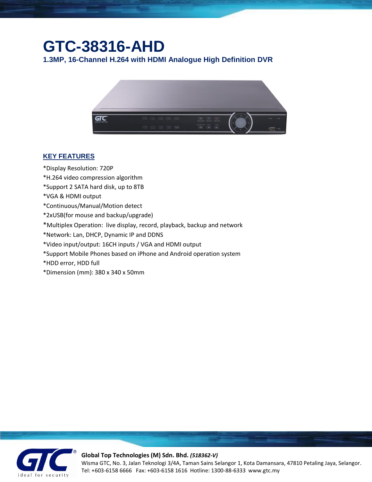## **GTC-38316-AHD**

**1.3MP, 16-Channel H.264 with HDMI Analogue High Definition DVR**



## **KEY FEATURES**

- \*Display Resolution: 720P
- \*H.264 video compression algorithm
- \*Support 2 SATA hard disk, up to 8TB
- \*VGA & HDMI output
- \*Continuous/Manual/Motion detect
- \*2xUSB(for mouse and backup/upgrade)
- \*Multiplex Operation: live display, record, playback, backup and network
- \*Network: Lan, DHCP, Dynamic IP and DDNS
- \*Video input/output: 16CH inputs / VGA and HDMI output
- \*Support Mobile Phones based on iPhone and Android operation system
- \*HDD error, HDD full
- \*Dimension (mm): 380 x 340 x 50mm



## **Global Top Technologies (M) Sdn. Bhd.** *(518362-V)*

Wisma GTC, No. 3, Jalan Teknologi 3/4A, Taman Sains Selangor 1, Kota Damansara, 47810 Petaling Jaya, Selangor. Tel: +603-6158 6666 Fax: +603-6158 1616 Hotline: 1300-88-6333 www.gtc.my